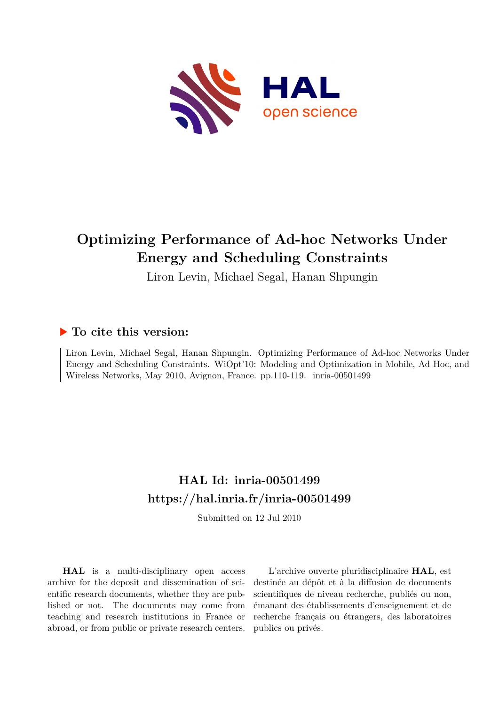

## **Optimizing Performance of Ad-hoc Networks Under Energy and Scheduling Constraints**

Liron Levin, Michael Segal, Hanan Shpungin

### **To cite this version:**

Liron Levin, Michael Segal, Hanan Shpungin. Optimizing Performance of Ad-hoc Networks Under Energy and Scheduling Constraints. WiOpt'10: Modeling and Optimization in Mobile, Ad Hoc, and Wireless Networks, May 2010, Avignon, France. pp.110-119. inria-00501499

## **HAL Id: inria-00501499 <https://hal.inria.fr/inria-00501499>**

Submitted on 12 Jul 2010

**HAL** is a multi-disciplinary open access archive for the deposit and dissemination of scientific research documents, whether they are published or not. The documents may come from teaching and research institutions in France or abroad, or from public or private research centers.

L'archive ouverte pluridisciplinaire **HAL**, est destinée au dépôt et à la diffusion de documents scientifiques de niveau recherche, publiés ou non, émanant des établissements d'enseignement et de recherche français ou étrangers, des laboratoires publics ou privés.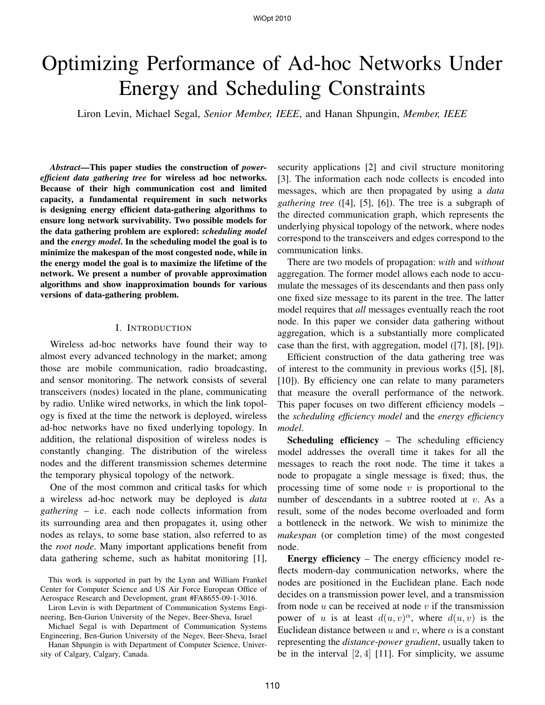# Optimizing Performance of Ad-hoc Networks Under Energy and Scheduling Constraints

Liron Levin, Michael Segal, *Senior Member, IEEE*, and Hanan Shpungin, *Member, IEEE*

*Abstract*—This paper studies the construction of *powerefficient data gathering tree* for wireless ad hoc networks. Because of their high communication cost and limited capacity, a fundamental requirement in such networks is designing energy efficient data-gathering algorithms to ensure long network survivability. Two possible models for the data gathering problem are explored: *scheduling model* and the *energy model*. In the scheduling model the goal is to minimize the makespan of the most congested node, while in the energy model the goal is to maximize the lifetime of the network. We present a number of provable approximation algorithms and show inapproximation bounds for various versions of data-gathering problem.

#### I. INTRODUCTION

Wireless ad-hoc networks have found their way to almost every advanced technology in the market; among those are mobile communication, radio broadcasting, and sensor monitoring. The network consists of several transceivers (nodes) located in the plane, communicating by radio. Unlike wired networks, in which the link topology is fixed at the time the network is deployed, wireless ad-hoc networks have no fixed underlying topology. In addition, the relational disposition of wireless nodes is constantly changing. The distribution of the wireless nodes and the different transmission schemes determine the temporary physical topology of the network.

One of the most common and critical tasks for which a wireless ad-hoc network may be deployed is *data gathering* – i.e. each node collects information from its surrounding area and then propagates it, using other nodes as relays, to some base station, also referred to as the *root node*. Many important applications benefit from data gathering scheme, such as habitat monitoring [1],

This work is supported in part by the Lynn and William Frankel Center for Computer Science and US Air Force European Office of Aerospace Research and Development, grant #FA8655-09-1-3016.

Liron Levin is with Department of Communication Systems Engineering, Ben-Gurion University of the Negev, Beer-Sheva, Israel

Michael Segal is with Department of Communication Systems Engineering, Ben-Gurion University of the Negev, Beer-Sheva, Israel

Hanan Shpungin is with Department of Computer Science, University of Calgary, Calgary, Canada.

security applications [2] and civil structure monitoring [3]. The information each node collects is encoded into messages, which are then propagated by using a *data gathering tree* ([4], [5], [6]). The tree is a subgraph of the directed communication graph, which represents the underlying physical topology of the network, where nodes correspond to the transceivers and edges correspond to the communication links.

There are two models of propagation: *with* and *without* aggregation. The former model allows each node to accumulate the messages of its descendants and then pass only one fixed size message to its parent in the tree. The latter model requires that *all* messages eventually reach the root node. In this paper we consider data gathering without aggregation, which is a substantially more complicated case than the first, with aggregation, model ([7], [8], [9]).

Efficient construction of the data gathering tree was of interest to the community in previous works ([5], [8], [10]). By efficiency one can relate to many parameters that measure the overall performance of the network. This paper focuses on two different efficiency models – the *scheduling efficiency model* and the *energy efficiency model*.

Scheduling efficiency – The scheduling efficiency model addresses the overall time it takes for all the messages to reach the root node. The time it takes a node to propagate a single message is fixed; thus, the processing time of some node  $v$  is proportional to the number of descendants in a subtree rooted at v. As a result, some of the nodes become overloaded and form a bottleneck in the network. We wish to minimize the *makespan* (or completion time) of the most congested node.

Energy efficiency – The energy efficiency model reflects modern-day communication networks, where the nodes are positioned in the Euclidean plane. Each node decides on a transmission power level, and a transmission from node  $u$  can be received at node  $v$  if the transmission power of u is at least  $d(u, v)^\alpha$ , where  $d(u, v)$  is the Euclidean distance between u and v, where  $\alpha$  is a constant representing the *distance-power gradient*, usually taken to be in the interval  $[2, 4]$  [11]. For simplicity, we assume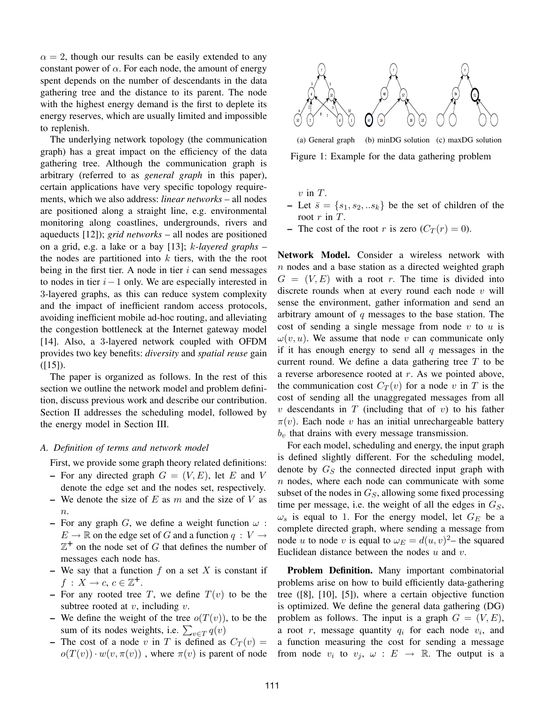$\alpha = 2$ , though our results can be easily extended to any constant power of  $\alpha$ . For each node, the amount of energy spent depends on the number of descendants in the data gathering tree and the distance to its parent. The node with the highest energy demand is the first to deplete its energy reserves, which are usually limited and impossible to replenish.

The underlying network topology (the communication graph) has a great impact on the efficiency of the data gathering tree. Although the communication graph is arbitrary (referred to as *general graph* in this paper), certain applications have very specific topology requirements, which we also address: *linear networks* – all nodes are positioned along a straight line, e.g. environmental monitoring along coastlines, undergrounds, rivers and aqueducts [12]); *grid networks* – all nodes are positioned on a grid, e.g. a lake or a bay [13]; k*-layered graphs* – the nodes are partitioned into  $k$  tiers, with the the root being in the first tier. A node in tier  $i$  can send messages to nodes in tier  $i-1$  only. We are especially interested in 3-layered graphs, as this can reduce system complexity and the impact of inefficient random access protocols, avoiding inefficient mobile ad-hoc routing, and alleviating the congestion bottleneck at the Internet gateway model [14]. Also, a 3-layered network coupled with OFDM provides two key benefits: *diversity* and *spatial reuse* gain  $([15]).$ 

The paper is organized as follows. In the rest of this section we outline the network model and problem definition, discuss previous work and describe our contribution. Section II addresses the scheduling model, followed by the energy model in Section III.

#### *A. Definition of terms and network model*

First, we provide some graph theory related definitions:

- For any directed graph  $G = (V, E)$ , let E and V denote the edge set and the nodes set, respectively.
- We denote the size of  $E$  as  $m$  and the size of  $V$  as  $n$ .
- For any graph G, we define a weight function  $\omega$ :  $E \to \mathbb{R}$  on the edge set of G and a function  $q: V \to$  $\mathbb{Z}^+$  on the node set of G that defines the number of messages each node has.
- We say that a function  $f$  on a set  $X$  is constant if  $f: X \to c, c \in \mathbb{Z}^+$ .
- For any rooted tree T, we define  $T(v)$  to be the subtree rooted at  $v$ , including  $v$ .
- We define the weight of the tree  $o(T(v))$ , to be the sum of its nodes weights, i.e.  $\sum_{v \in T} q(v)$
- The cost of a node v in T is defined as  $C_T(v)$  =  $o(T(v)) \cdot w(v, \pi(v))$ , where  $\pi(v)$  is parent of node



(a) General graph (b) minDG solution (c) maxDG solution Figure 1: Example for the data gathering problem

 $v$  in  $T$ .

- Let  $\bar{s} = \{s_1, s_2, \ldots s_k\}$  be the set of children of the root  $r$  in  $T$ .
- The cost of the root r is zero  $(C_T(r) = 0)$ .

Network Model. Consider a wireless network with  $n$  nodes and a base station as a directed weighted graph  $G = (V, E)$  with a root r. The time is divided into discrete rounds when at every round each node  $v$  will sense the environment, gather information and send an arbitrary amount of q messages to the base station. The cost of sending a single message from node  $v$  to  $u$  is  $\omega(v, u)$ . We assume that node v can communicate only if it has enough energy to send all  $q$  messages in the current round. We define a data gathering tree  $T$  to be a reverse arboresence rooted at r. As we pointed above, the communication cost  $C_T(v)$  for a node v in T is the cost of sending all the unaggregated messages from all v descendants in  $T$  (including that of v) to his father  $\pi(v)$ . Each node v has an initial unrechargeable battery  $b<sub>v</sub>$  that drains with every message transmission.

For each model, scheduling and energy, the input graph is defined slightly different. For the scheduling model, denote by  $G<sub>S</sub>$  the connected directed input graph with  $n$  nodes, where each node can communicate with some subset of the nodes in  $G<sub>S</sub>$ , allowing some fixed processing time per message, i.e. the weight of all the edges in  $G<sub>S</sub>$ ,  $\omega_s$  is equal to 1. For the energy model, let  $G_E$  be a complete directed graph, where sending a message from node *u* to node *v* is equal to  $\omega_E = d(u, v)^2$  – the squared Euclidean distance between the nodes  $u$  and  $v$ .

Problem Definition. Many important combinatorial problems arise on how to build efficiently data-gathering tree ([8], [10], [5]), where a certain objective function is optimized. We define the general data gathering (DG) problem as follows. The input is a graph  $G = (V, E)$ , a root  $r$ , message quantity  $q_i$  for each node  $v_i$ , and a function measuring the cost for sending a message from node  $v_i$  to  $v_j$ ,  $\omega$  :  $E \rightarrow \mathbb{R}$ . The output is a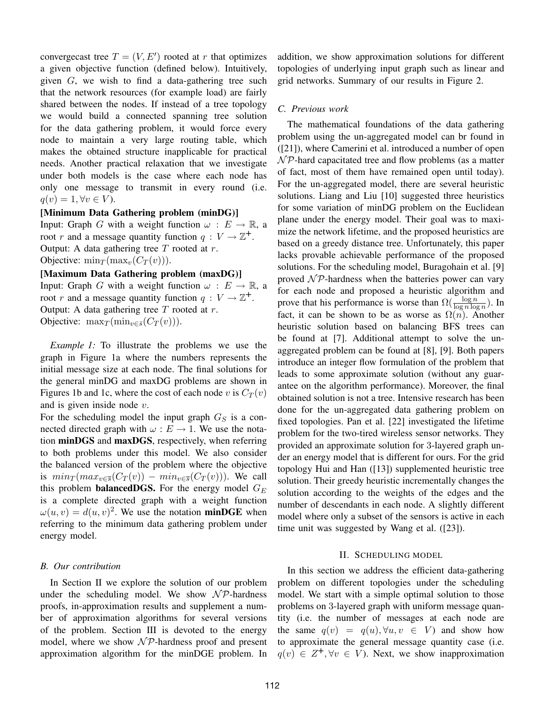convergecast tree  $T = (V, E')$  rooted at r that optimizes a given objective function (defined below). Intuitively, given G, we wish to find a data-gathering tree such that the network resources (for example load) are fairly shared between the nodes. If instead of a tree topology we would build a connected spanning tree solution for the data gathering problem, it would force every node to maintain a very large routing table, which makes the obtained structure inapplicable for practical needs. Another practical relaxation that we investigate under both models is the case where each node has only one message to transmit in every round (i.e.  $q(v) = 1, \forall v \in V$ .

#### [Minimum Data Gathering problem (minDG)]

Input: Graph G with a weight function  $\omega : E \to \mathbb{R}$ , a root r and a message quantity function  $q: V \to \mathbb{Z}^+$ . Output: A data gathering tree  $T$  rooted at  $r$ . Objective:  $\min_T (\max_v (C_T(v)))$ .

#### [Maximum Data Gathering problem (maxDG)]

Input: Graph G with a weight function  $\omega : E \to \mathbb{R}$ , a root r and a message quantity function  $q: V \to \mathbb{Z}^+$ . Output: A data gathering tree  $T$  rooted at  $r$ . Objective:  $\max_T (\min_{v \in \bar{s}} (C_T(v)))$ .

*Example 1:* To illustrate the problems we use the graph in Figure 1a where the numbers represents the initial message size at each node. The final solutions for the general minDG and maxDG problems are shown in Figures 1b and 1c, where the cost of each node v is  $C_T(v)$ and is given inside node v.

For the scheduling model the input graph  $G<sub>S</sub>$  is a connected directed graph with  $\omega : E \to 1$ . We use the notation minDGS and maxDGS, respectively, when referring to both problems under this model. We also consider the balanced version of the problem where the objective is  $min_T(max_{v \in \overline{s}}(C_T(v)) - min_{v \in \overline{s}}(C_T(v))$ . We call this problem **balancedDGS.** For the energy model  $G_E$ is a complete directed graph with a weight function  $\omega(u, v) = d(u, v)^2$ . We use the notation **minDGE** when referring to the minimum data gathering problem under energy model.

#### *B. Our contribution*

In Section II we explore the solution of our problem under the scheduling model. We show  $\mathcal{NP}$ -hardness proofs, in-approximation results and supplement a number of approximation algorithms for several versions of the problem. Section III is devoted to the energy model, where we show  $\mathcal{NP}$ -hardness proof and present approximation algorithm for the minDGE problem. In addition, we show approximation solutions for different topologies of underlying input graph such as linear and grid networks. Summary of our results in Figure 2.

#### *C. Previous work*

The mathematical foundations of the data gathering problem using the un-aggregated model can br found in ([21]), where Camerini et al. introduced a number of open  $\mathcal{NP}$ -hard capacitated tree and flow problems (as a matter of fact, most of them have remained open until today). For the un-aggregated model, there are several heuristic solutions. Liang and Liu [10] suggested three heuristics for some variation of minDG problem on the Euclidean plane under the energy model. Their goal was to maximize the network lifetime, and the proposed heuristics are based on a greedy distance tree. Unfortunately, this paper lacks provable achievable performance of the proposed solutions. For the scheduling model, Buragohain et al. [9] proved  $\mathcal{NP}$ -hardness when the batteries power can vary for each node and proposed a heuristic algorithm and prove that his performance is worse than  $\Omega(\frac{\log n}{\log n \log n})$ . In fact, it can be shown to be as worse as  $\Omega(n)$ . Another heuristic solution based on balancing BFS trees can be found at [7]. Additional attempt to solve the unaggregated problem can be found at [8], [9]. Both papers introduce an integer flow formulation of the problem that leads to some approximate solution (without any guarantee on the algorithm performance). Moreover, the final obtained solution is not a tree. Intensive research has been done for the un-aggregated data gathering problem on fixed topologies. Pan et al. [22] investigated the lifetime problem for the two-tired wireless sensor networks. They provided an approximate solution for 3-layered graph under an energy model that is different for ours. For the grid topology Hui and Han ([13]) supplemented heuristic tree solution. Their greedy heuristic incrementally changes the solution according to the weights of the edges and the number of descendants in each node. A slightly different model where only a subset of the sensors is active in each time unit was suggested by Wang et al. ([23]).

#### II. SCHEDULING MODEL

In this section we address the efficient data-gathering problem on different topologies under the scheduling model. We start with a simple optimal solution to those problems on 3-layered graph with uniform message quantity (i.e. the number of messages at each node are the same  $q(v) = q(u), \forall u, v \in V$  and show how to approximate the general message quantity case (i.e.  $q(v) \in Z^+, \forall v \in V$ ). Next, we show inapproximation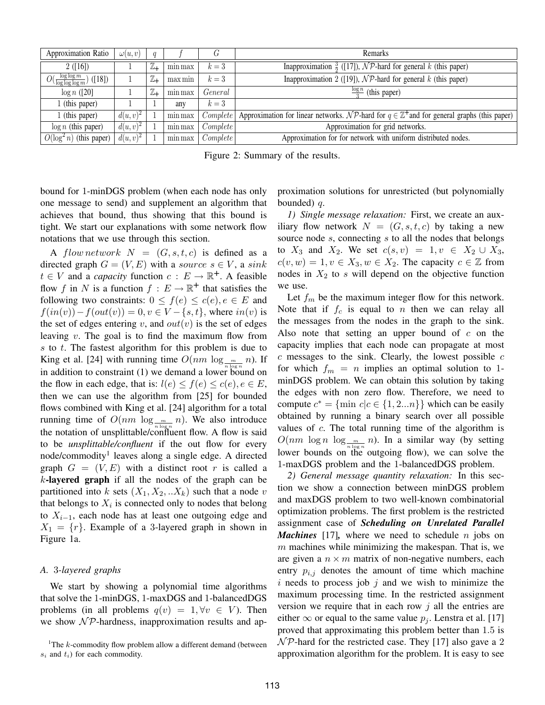| Approximation Ratio                              | $\omega(u,v)$ | $\boldsymbol{q}$ |         |          | Remarks                                                                                                 |
|--------------------------------------------------|---------------|------------------|---------|----------|---------------------------------------------------------------------------------------------------------|
| 2([16])                                          |               | $\mathbb{Z}_+$   | min max | $k=3$    | Inapproximation $\frac{3}{2}$ ([17]), NP-hard for general k (this paper)                                |
| $O(\frac{\log \log m}{\log \log \log m})$ ([18]) |               | ℤ+               | max min | $k=3$    | Inapproximation 2 ([19]), $\mathcal{NP}$ -hard for general k (this paper)                               |
| $\log n$ ([20]                                   |               | $\mathbb{Z}_+$   | min max | General  | $\frac{\log n}{2}$ (this paper)                                                                         |
| l (this paper)                                   |               |                  | any     | $k=3$    |                                                                                                         |
| l (this paper)                                   | $d(u, v)^2$   |                  | min max | Complete | Approximation for linear networks. NP-hard for $q \in \mathbb{Z}^+$ and for general graphs (this paper) |
| $\log n$ (this paper)                            | $d(u, v)^2$   |                  | min max | Complete | Approximation for grid networks.                                                                        |
| $O(\log^2 n)$ (this paper)                       | $d(u, v)^2$   |                  | min max | Complete | Approximation for for network with uniform distributed nodes.                                           |

Figure 2: Summary of the results.

bound for 1-minDGS problem (when each node has only one message to send) and supplement an algorithm that achieves that bound, thus showing that this bound is tight. We start our explanations with some network flow notations that we use through this section.

A flow network  $N = (G, s, t, c)$  is defined as a directed graph  $G = (V, E)$  with a source  $s \in V$ , a sink  $t \in V$  and a *capacity* function  $c : E \to \mathbb{R}^+$ . A feasible flow f in N is a function  $f : E \to \mathbb{R}^+$  that satisfies the following two constraints:  $0 \leq f(e) \leq c(e), e \in E$  and  $f(in(v)) - f(out(v)) = 0, v \in V - \{s, t\}$ , where  $in(v)$  is the set of edges entering v, and  $out(v)$  is the set of edges leaving  $v$ . The goal is to find the maximum flow from  $s$  to  $t$ . The fastest algorithm for this problem is due to King et al. [24] with running time  $O(nm \log_{m} n)$ . If in addition to constraint (1) we demand a lower bound on the flow in each edge, that is:  $l(e) \leq f(e) \leq c(e), e \in E$ , then we can use the algorithm from [25] for bounded flows combined with King et al. [24] algorithm for a total running time of  $O(nm \log_{10} m n)$ . We also introduce the notation of unsplittable/confluent flow. A flow is said to be *unsplittable/confluent* if the out flow for every node/commodity<sup>1</sup> leaves along a single edge. A directed graph  $G = (V, E)$  with a distinct root r is called a  $k$ -layered graph if all the nodes of the graph can be partitioned into k sets  $(X_1, X_2, ... X_k)$  such that a node v that belongs to  $X_i$  is connected only to nodes that belong to  $X_{i-1}$ , each node has at least one outgoing edge and  $X_1 = \{r\}$ . Example of a 3-layered graph in shown in Figure 1a.

#### *A.* 3*-layered graphs*

We start by showing a polynomial time algorithms that solve the 1-minDGS, 1-maxDGS and 1-balancedDGS problems (in all problems  $q(v) = 1, \forall v \in V$ ). Then we show  $N \mathcal{P}$ -hardness, inapproximation results and approximation solutions for unrestricted (but polynomially bounded)  $q$ .

*1) Single message relaxation:* First, we create an auxiliary flow network  $N = (G, s, t, c)$  by taking a new source node s, connecting s to all the nodes that belongs to  $X_3$  and  $X_2$ . We set  $c(s, v) = 1, v \in X_2 \cup X_3$ ,  $c(v, w) = 1, v \in X_3, w \in X_2$ . The capacity  $c \in \mathbb{Z}$  from nodes in  $X_2$  to s will depend on the objective function we use.

Let  $f_m$  be the maximum integer flow for this network. Note that if  $f_c$  is equal to n then we can relay all the messages from the nodes in the graph to the sink. Also note that setting an upper bound of  $c$  on the capacity implies that each node can propagate at most  $c$  messages to the sink. Clearly, the lowest possible  $c$ for which  $f_m = n$  implies an optimal solution to 1minDGS problem. We can obtain this solution by taking the edges with non zero flow. Therefore, we need to compute  $c^* = \{\min c | c \in \{1, 2...n\}\}\$  which can be easily obtained by running a binary search over all possible values of  $c$ . The total running time of the algorithm is  $O(nm \log n \log_{10} m)$ . In a similar way (by setting lower bounds on the outgoing flow), we can solve the 1-maxDGS problem and the 1-balancedDGS problem.

*2) General message quantity relaxation:* In this section we show a connection between minDGS problem and maxDGS problem to two well-known combinatorial optimization problems. The first problem is the restricted assignment case of *Scheduling on Unrelated Parallel Machines* [17]*,* where we need to schedule n jobs on  $m$  machines while minimizing the makespan. That is, we are given a  $n \times m$  matrix of non-negative numbers, each entry  $p_{i,j}$  denotes the amount of time which machine  $i$  needs to process job  $j$  and we wish to minimize the maximum processing time. In the restricted assignment version we require that in each row  $j$  all the entries are either  $\infty$  or equal to the same value  $p_i$ . Lenstra et al. [17] proved that approximating this problem better than 1.5 is  $\mathcal{NP}$ -hard for the restricted case. They [17] also gave a 2 approximation algorithm for the problem. It is easy to see

<sup>&</sup>lt;sup>1</sup>The  $k$ -commodity flow problem allow a different demand (between  $s_i$  and  $t_i$ ) for each commodity.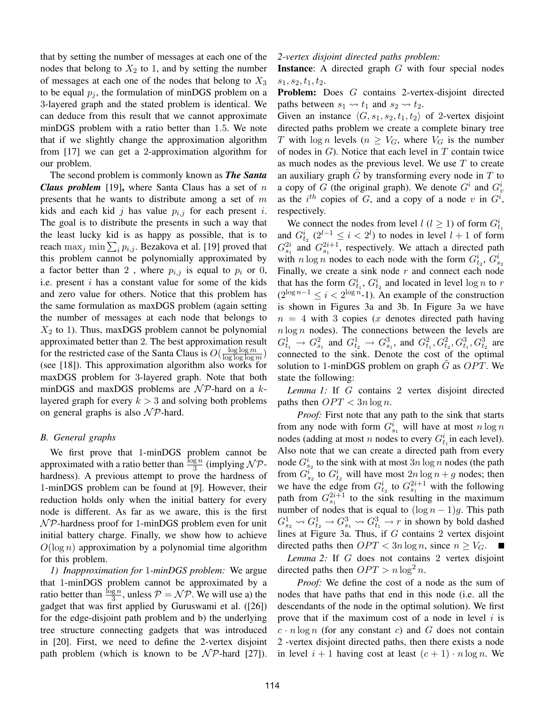that by setting the number of messages at each one of the nodes that belong to  $X_2$  to 1, and by setting the number of messages at each one of the nodes that belong to  $X_3$ to be equal  $p_i$ , the formulation of minDGS problem on a 3-layered graph and the stated problem is identical. We can deduce from this result that we cannot approximate minDGS problem with a ratio better than 1.5. We note that if we slightly change the approximation algorithm from [17] we can get a 2-approximation algorithm for our problem.

The second problem is commonly known as *The Santa Claus problem* [19], where Santa Claus has a set of n presents that he wants to distribute among a set of  $m$ kids and each kid j has value  $p_{i,j}$  for each present i. The goal is to distribute the presents in such a way that the least lucky kid is as happy as possible, that is to reach  $\max_j \min_{j} \sum_i p_{i,j}$ . Bezakova et al. [19] proved that this problem cannot be polynomially approximated by a factor better than 2, where  $p_{i,j}$  is equal to  $p_i$  or 0, i.e. present  $i$  has a constant value for some of the kids and zero value for others. Notice that this problem has the same formulation as maxDGS problem (again setting the number of messages at each node that belongs to  $X_2$  to 1). Thus, maxDGS problem cannot be polynomial approximated better than 2. The best approximation result for the restricted case of the Santa Claus is  $O(\frac{\log \log m}{\log \log \log n})$  $\frac{\log \log m}{\log \log \log m}$ (see [18]). This approximation algorithm also works for maxDGS problem for 3-layered graph. Note that both minDGS and maxDGS problems are  $\mathcal{NP}$ -hard on a klayered graph for every  $k > 3$  and solving both problems on general graphs is also  $N\mathcal{P}$ -hard.

#### *B. General graphs*

We first prove that 1-minDGS problem cannot be approximated with a ratio better than  $\frac{\log n}{3}$  (implying  $\mathcal{NP}$ hardness). A previous attempt to prove the hardness of 1-minDGS problem can be found at [9]. However, their reduction holds only when the initial battery for every node is different. As far as we aware, this is the first  $\mathcal{NP}$ -hardness proof for 1-minDGS problem even for unit initial battery charge. Finally, we show how to achieve  $O(\log n)$  approximation by a polynomial time algorithm for this problem.

*1) Inapproximation for* 1*-minDGS problem:* We argue that 1-minDGS problem cannot be approximated by a ratio better than  $\frac{\log n}{3}$ , unless  $P = \mathcal{NP}$ . We will use a) the gadget that was first applied by Guruswami et al. ([26]) for the edge-disjoint path problem and b) the underlying tree structure connecting gadgets that was introduced in [20]. First, we need to define the 2-vertex disjoint path problem (which is known to be  $\mathcal{NP}$ -hard [27]).

#### *2-vertex disjoint directed paths problem:*

**Instance:** A directed graph  $G$  with four special nodes  $s_1, s_2, t_1, t_2.$ 

Problem: Does G contains 2-vertex-disjoint directed paths between  $s_1 \rightarrow t_1$  and  $s_2 \rightarrow t_2$ .

Given an instance  $\langle G, s_1, s_2, t_1, t_2 \rangle$  of 2-vertex disjoint directed paths problem we create a complete binary tree T with  $\log n$  levels  $(n \geq V_G)$ , where  $V_G$  is the number of nodes in  $G$ ). Notice that each level in  $T$  contain twice as much nodes as the previous level. We use  $T$  to create an auxiliary graph  $\tilde{G}$  by transforming every node in  $T$  to a copy of G (the original graph). We denote  $G^i$  and  $G^i_v$ as the  $i^{th}$  copies of G, and a copy of a node v in  $G^i$ , respectively.

We connect the nodes from level  $l$  ( $l \ge 1$ ) of form  $G_{t_1}^i$ and  $G_{t_2}^i$   $(2^{l-1} \le i < 2^l)$  to nodes in level  $l+1$  of form  $G_{s_1}^{2i}$  and  $G_{s_1}^{2i+1}$ , respectively. We attach a directed path with  $n \log n$  nodes to each node with the form  $G_{t_2}^i$ ,  $G_{s_2}^i$ Finally, we create a sink node  $r$  and connect each node that has the form  $G_{t_1}^i$ ,  $G_{t_2}^i$  and located in level  $\log n$  to r  $(2^{\log n-1} \leq i < 2^{\log n} - 1)$ . An example of the construction is shown in Figures 3a and 3b. In Figure 3a we have  $n = 4$  with 3 copies (x denotes directed path having  $n \log n$  nodes). The connections between the levels are  $G_{t_1}^1 \rightarrow G_{s_1}^2$  and  $G_{t_2}^1 \rightarrow G_{s_1}^3$ , and  $G_{t_1}^2, G_{t_2}^2, G_{t_1}^3, G_{t_2}^3$  are connected to the sink. Denote the cost of the optimal solution to 1-minDGS problem on graph  $\tilde{G}$  as  $OPT$ . We state the following:

*Lemma 1:* If G contains 2 vertex disjoint directed paths then  $OPT < 3n \log n$ .

*Proof:* First note that any path to the sink that starts from any node with form  $G_{s_1}^i$  will have at most  $n \log n$ nodes (adding at most *n* nodes to every  $G_{t_1}^i$  in each level). Also note that we can create a directed path from every node  $G_{s_2}^i$  to the sink with at most  $3n \log n$  nodes (the path from  $G_{s_2}^i$  to  $G_{t_2}^i$  will have most  $2n \log n + g$  nodes; then we have the edge from  $G_{t_2}^i$  to  $G_{s_1}^{2i+1}$  with the following path from  $G_{s_1}^{2i+1}$  to the sink resulting in the maximum number of nodes that is equal to  $(\log n - 1)g$ . This path  $G_{s_2}^1 \rightsquigarrow G_{t_2}^1 \rightarrow G_{s_1}^3 \rightsquigarrow G_{t_1}^3 \rightarrow r$  in shown by bold dashed lines at Figure 3a. Thus, if G contains 2 vertex disjoint directed paths then  $OPT < 3n \log n$ , since  $n \geq V_G$ .

*Lemma 2:* If G does not contains 2 vertex disjoint directed paths then  $OPT > n \log^2 n$ .

*Proof:* We define the cost of a node as the sum of nodes that have paths that end in this node (i.e. all the descendants of the node in the optimal solution). We first prove that if the maximum cost of a node in level  $i$  is  $c \cdot n \log n$  (for any constant c) and G does not contain 2 -vertex disjoint directed paths, then there exists a node in level  $i + 1$  having cost at least  $(c + 1) \cdot n \log n$ . We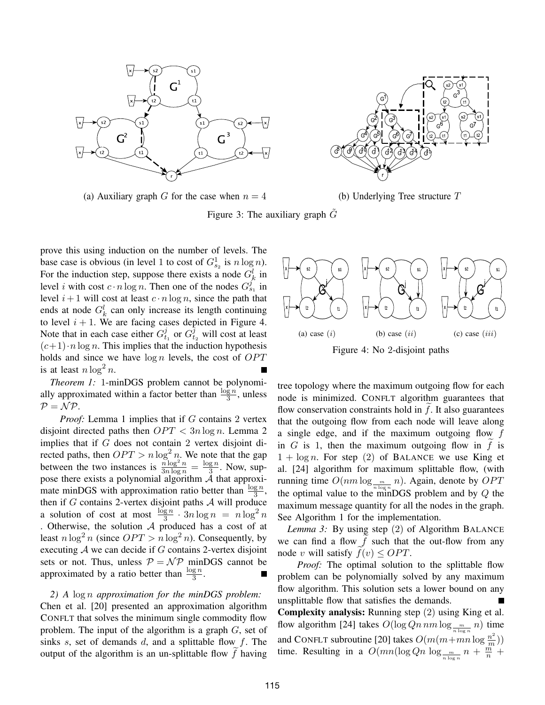

(a) Auxiliary graph G for the case when  $n = 4$  (b) Underlying Tree structure T

Figure 3: The auxiliary graph  $\tilde{G}$ 

prove this using induction on the number of levels. The base case is obvious (in level 1 to cost of  $G_{s_2}^1$  is  $n \log n$ ). For the induction step, suppose there exists a node  $G_k^l$  in level *i* with cost  $c \cdot n \log n$ . Then one of the nodes  $G_{s_1}^{j^{\infty}}$  in level  $i+1$  will cost at least  $c \cdot n \log n$ , since the path that ends at node  $G_k^l$  can only increase its length continuing to level  $i + 1$ . We are facing cases depicted in Figure 4. Note that in each case either  $G_t^j$  $t_1$  or  $G_t^{\hat{j}}$  will cost at least  $(c+1) \cdot n \log n$ . This implies that the induction hypothesis holds and since we have  $\log n$  levels, the cost of  $OPT$ is at least  $n \log^2 n$ .

*Theorem 1:* 1-minDGS problem cannot be polynomially approximated within a factor better than  $\frac{\log n}{3}$ , unless  $P = NP$ .

*Proof:* Lemma 1 implies that if G contains 2 vertex disjoint directed paths then  $OPT < 3n \log n$ . Lemma 2 implies that if G does not contain 2 vertex disjoint directed paths, then  $OPT > n \log^2 n$ . We note that the gap between the two instances is  $\frac{n \log^2 n}{3n \log n} = \frac{\log n}{3}$  $\frac{g n}{3}$ . Now, suppose there exists a polynomial algorithm  $A$  that approximate minDGS with approximation ratio better than  $\frac{\log n}{3}$ , then if  $G$  contains 2-vertex disjoint paths  $A$  will produce a solution of cost at most  $\frac{\log n}{3} \cdot 3n \log n = n \log^2 n$ . Otherwise, the solution A produced has a cost of at least  $n \log^2 n$  (since  $OPT > n \log^2 n$ ). Consequently, by executing  $A$  we can decide if  $G$  contains 2-vertex disjoint sets or not. Thus, unless  $P = \mathcal{NP}$  minDGS cannot be approximated by a ratio better than  $\frac{\log n}{3}$ .

#### *2) A* log n *approximation for the minDGS problem:*

Chen et al. [20] presented an approximation algorithm CONFLT that solves the minimum single commodity flow problem. The input of the algorithm is a graph  $G$ , set of sinks s, set of demands  $d$ , and a splittable flow  $f$ . The output of the algorithm is an un-splittable flow  $f$  having





tree topology where the maximum outgoing flow for each node is minimized. CONFLT algorithm guarantees that flow conservation constraints hold in  $f$ . It also guarantees that the outgoing flow from each node will leave along a single edge, and if the maximum outgoing flow f in G is 1, then the maximum outgoing flow in  $\hat{f}$  is  $1 + \log n$ . For step (2) of BALANCE we use King et al. [24] algorithm for maximum splittable flow, (with running time  $O(nm \log_{10} m n)$ . Again, denote by  $OPT$ the optimal value to the minDGS problem and by  $Q$  the maximum message quantity for all the nodes in the graph. See Algorithm 1 for the implementation.

*Lemma 3:* By using step (2) of Algorithm BALANCE we can find a flow  $f$  such that the out-flow from any node v will satisfy  $f(v) \leq OPT$ .

*Proof:* The optimal solution to the splittable flow problem can be polynomially solved by any maximum flow algorithm. This solution sets a lower bound on any unsplittable flow that satisfies the demands.

Complexity analysis: Running step (2) using King et al. flow algorithm [24] takes  $O(\log Qn \, nm \log_{\frac{m}{n \log n}} n)$  time and CONFLT subroutine [20] takes  $O(m(m + mn \log \frac{n^2}{m}))$  $\frac{n^2}{m})$ time. Resulting in a  $O(mn(\log Qn \log_{\frac{m}{n \log n}} n + \frac{m}{n})$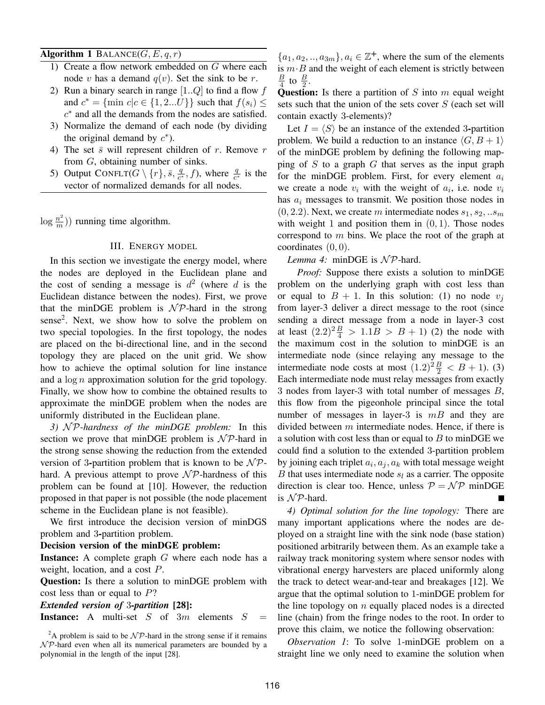#### Algorithm 1 BALANCE $(G, E, q, r)$

- 1) Create a flow network embedded on G where each node v has a demand  $q(v)$ . Set the sink to be r.
- 2) Run a binary search in range  $[1..Q]$  to find a flow f and  $c^* = \{\min c | c \in \{1, 2...U\}\}\$  such that  $f(s_i) \leq$ c ∗ and all the demands from the nodes are satisfied.
- 3) Normalize the demand of each node (by dividing the original demand by  $c^*$ ).
- 4) The set  $\bar{s}$  will represent children of r. Remove r from G, obtaining number of sinks.
- 5) Output CONFLT $(G \setminus \{r\}, \bar{s}, \frac{q}{c^*})$  $\frac{q}{c^*}$ , f), where  $\frac{q}{c^*}$  is the vector of normalized demands for all nodes.

 $\log \frac{n^2}{m}$  $\binom{m}{m}$ ) running time algorithm.

#### III. ENERGY MODEL

In this section we investigate the energy model, where the nodes are deployed in the Euclidean plane and the cost of sending a message is  $d^2$  (where d is the Euclidean distance between the nodes). First, we prove that the minDGE problem is  $N \mathcal{P}$ -hard in the strong sense<sup>2</sup>. Next, we show how to solve the problem on two special topologies. In the first topology, the nodes are placed on the bi-directional line, and in the second topology they are placed on the unit grid. We show how to achieve the optimal solution for line instance and a  $\log n$  approximation solution for the grid topology. Finally, we show how to combine the obtained results to approximate the minDGE problem when the nodes are uniformly distributed in the Euclidean plane.

*3)* N P*-hardness of the minDGE problem:* In this section we prove that minDGE problem is  $N \mathcal{P}$ -hard in the strong sense showing the reduction from the extended version of 3-partition problem that is known to be  $N \mathcal{P}$ hard. A previous attempt to prove  $\mathcal{NP}$ -hardness of this problem can be found at [10]. However, the reduction proposed in that paper is not possible (the node placement scheme in the Euclidean plane is not feasible).

We first introduce the decision version of minDGS problem and 3-partition problem.

#### Decision version of the minDGE problem:

**Instance:** A complete graph  $G$  where each node has a weight, location, and a cost P.

Question: Is there a solution to minDGE problem with cost less than or equal to  $P$ ?

*Extended version of* 3*-partition* [28]: **Instance:** A multi-set  $S$  of  $3m$  elements  $S$ 

 $\{a_1, a_2, \ldots, a_{3m}\}, a_i \in \mathbb{Z}^+$ , where the sum of the elements is  $m \cdot B$  and the weight of each element is strictly between B  $\frac{B}{4}$  to  $\frac{B}{2}$ .

Question: Is there a partition of  $S$  into  $m$  equal weight sets such that the union of the sets cover  $S$  (each set will contain exactly 3-elements)?

Let  $I = \langle S \rangle$  be an instance of the extended 3-partition problem. We build a reduction to an instance  $\langle G, B + 1 \rangle$ of the minDGE problem by defining the following mapping of S to a graph G that serves as the input graph for the minDGE problem. First, for every element  $a_i$ we create a node  $v_i$  with the weight of  $a_i$ , i.e. node  $v_i$ has  $a_i$  messages to transmit. We position those nodes in  $(0, 2.2)$ . Next, we create m intermediate nodes  $s_1, s_2, ... s_m$ with weight 1 and position them in  $(0, 1)$ . Those nodes correspond to  $m$  bins. We place the root of the graph at coordinates  $(0, 0)$ .

#### *Lemma 4:* minDGE is  $N \mathcal{P}$ -hard.

*Proof:* Suppose there exists a solution to minDGE problem on the underlying graph with cost less than or equal to  $B + 1$ . In this solution: (1) no node  $v_i$ from layer-3 deliver a direct message to the root (since sending a direct message from a node in layer-3 cost at least  $(2.2)^{2} \frac{B}{4} > 1.1B > B + 1$  (2) the node with the maximum cost in the solution to minDGE is an intermediate node (since relaying any message to the intermediate node costs at most  $(1.2)^2 \frac{B}{2} < B + 1$ ). (3) Each intermediate node must relay messages from exactly 3 nodes from layer-3 with total number of messages B, this flow from the pigeonhole principal since the total number of messages in layer-3 is  $mB$  and they are divided between  $m$  intermediate nodes. Hence, if there is a solution with cost less than or equal to  $B$  to minDGE we could find a solution to the extended 3-partition problem by joining each triplet  $a_i, a_j, a_k$  with total message weight B that uses intermediate node  $s_l$  as a carrier. The opposite direction is clear too. Hence, unless  $P = \mathcal{NP}$  minDGE is  $N$ P-hard.

*4) Optimal solution for the line topology:* There are many important applications where the nodes are deployed on a straight line with the sink node (base station) positioned arbitrarily between them. As an example take a railway track monitoring system where sensor nodes with vibrational energy harvesters are placed uniformly along the track to detect wear-and-tear and breakages [12]. We argue that the optimal solution to 1-minDGE problem for the line topology on  $n$  equally placed nodes is a directed line (chain) from the fringe nodes to the root. In order to prove this claim, we notice the following observation:

*Observation 1*: To solve 1-minDGE problem on a straight line we only need to examine the solution when

<sup>&</sup>lt;sup>2</sup>A problem is said to be  $\mathcal{NP}$ -hard in the strong sense if it remains  $\mathcal{NP}$ -hard even when all its numerical parameters are bounded by a polynomial in the length of the input [28].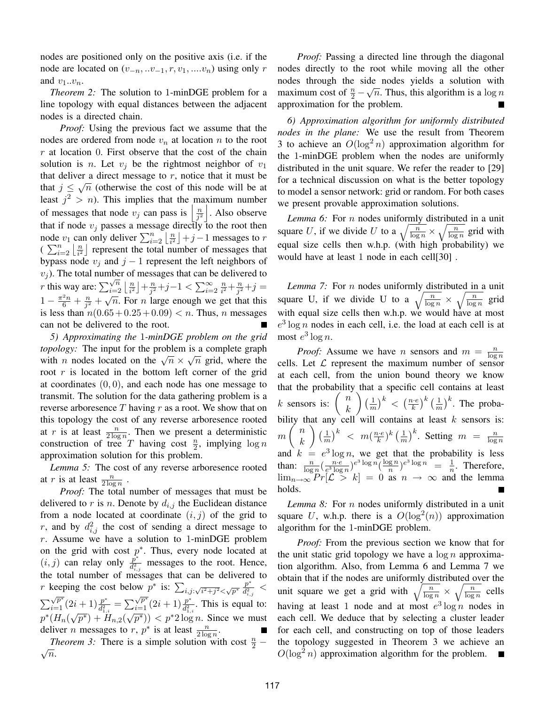nodes are positioned only on the positive axis (i.e. if the node are located on  $(v_{-n}, \ldots v_{-1}, r, v_1, \ldots v_n)$  using only r and  $v_1...v_n$ .

*Theorem 2:* The solution to 1-minDGE problem for a line topology with equal distances between the adjacent nodes is a directed chain.

*Proof:* Using the previous fact we assume that the nodes are ordered from node  $v_n$  at location n to the root  $r$  at location 0. First observe that the cost of the chain solution is *n*. Let  $v_j$  be the rightmost neighbor of  $v_1$ that deliver a direct message to  $r$ , notice that it must be that  $j \leq \sqrt{n}$  (otherwise the cost of this node will be at least  $j^2 > n$ ). This implies that the maximum number of messages that node  $v_j$  can pass is  $\left| \frac{n}{j^2} \right|$  $\frac{n}{j^2}$ . Also observe that if node  $v_i$  passes a message directly to the root then node  $v_1$  can only deliver  $\sum_{i=2}^n \left\lfloor \frac{n}{i^2} \right\rfloor$  $\frac{n}{i^2}$  | + j – 1 messages to r  $\left(\sum_{i=2}^n \left\lfloor \frac{n}{i^2}\right\rfloor\right)$  $\frac{n}{i^2}$  represent the total number of messages that bypass node  $v_j$  and  $j - 1$  represent the left neighbors of  $v_j$ ). The total number of messages that can be delivered to  $v_j$ ). The total number of  $r$  this way are:  $\sum_{i=2}^{\sqrt{n}} \left\lfloor \frac{n}{i^2} \right\rfloor$  $\frac{n}{i^2}\rfloor + \frac{n}{j^2}$  $\frac{n}{j^2}+j-1 < \sum_{i=2}^{\infty} \frac{n}{i^2}$  $\frac{n}{i^2} + \frac{n}{j^2}$  $\sum_{i=2}^{n}\left\lfloor\frac{n}{i^2}\right\rfloor+\frac{n}{j^2}+j-1<\sum_{i=2}^{\infty}\frac{n}{i^2}+\frac{n}{j^2}+j=0$  $1-\frac{\pi^2 n}{6}+\frac{n}{j^2}$  $\frac{n}{j^2} + \sqrt{n}$ . For *n* large enough we get that this is less than  $n(0.65 + 0.25 + 0.09) < n$ . Thus, *n* messages can not be delivered to the root.

*5) Approximating the* 1*-minDGE problem on the grid topology:* The input for the problem is a complete graph *topology*. The figure for the problem is a complete graph<br>with *n* nodes located on the  $\sqrt{n} \times \sqrt{n}$  grid, where the root  $r$  is located in the bottom left corner of the grid at coordinates  $(0, 0)$ , and each node has one message to transmit. The solution for the data gathering problem is a reverse arboresence  $T$  having  $r$  as a root. We show that on this topology the cost of any reverse arboresence rooted at r is at least  $\frac{n}{2 \log n}$ . Then we present a deterministic construction of tree T having cost  $\frac{n}{2}$ , implying  $\log n$ approximation solution for this problem.

*Lemma 5:* The cost of any reverse arboresence rooted at r is at least  $\frac{n}{2 \log n}$ .

*Proof:* The total number of messages that must be delivered to r is n. Denote by  $d_{i,j}$  the Euclidean distance from a node located at coordinate  $(i, j)$  of the grid to r, and by  $d_{i,j}^2$  the cost of sending a direct message to  $r$ . Assume we have a solution to 1-minDGE problem on the grid with cost  $p^*$ . Thus, every node located at  $(i, j)$  can relay only  $\frac{p^*}{d^2}$  $\frac{p^2}{d_{i,j}^2}$  messages to the root. Hence, the total number of messages that can be delivered to *r* keeping the cost below  $p^*$  is:  $\sum_{i,j:\sqrt{i^2+j^2} < \sqrt{p^*}} \frac{p^*}{d_i^2}$  $\frac{p^{\scriptscriptstyle +}}{d_{i,j}^2} <$  $\sum_{i=1}^{\sqrt{p^*}} (2i+1) \frac{p^*}{d_1^2}$  $\frac{p^*}{d_{1,i}^2} = \sum_{i=1}^{\sqrt{p^*}} (2i+1) \frac{p^*}{d_{1,i}^2}$  $2i+1\frac{p}{d_{1,i}^2} = \sum_{i=1}^{V_p} \frac{(2i+1)\frac{p}{d_{1,i}^2}}{(2i+1)\frac{p}{d_{1,i}^2}}$ . This is equal to:  $p^*(H_n(\sqrt{p^*}) + \ddot{H}_{n,2}(\sqrt{p^*})) < p^*2 \log n$ . Since we must deliver *n* messages to *r*,  $p^*$  is at least  $\frac{n}{2 \log n}$ .

*Theorem 3:* There is a simple solution with cost  $\frac{n}{2}$  –  $\sqrt{n}$ .

*Proof:* Passing a directed line through the diagonal nodes directly to the root while moving all the other nodes through the side nodes yields a solution with maximum cost of  $\frac{n}{2} - \sqrt{n}$ . Thus, this algorithm is a log n approximation for the problem.

*6) Approximation algorithm for uniformly distributed nodes in the plane:* We use the result from Theorem 3 to achieve an  $O(\log^2 n)$  approximation algorithm for the 1-minDGE problem when the nodes are uniformly distributed in the unit square. We refer the reader to [29] for a technical discussion on what is the better topology to model a sensor network: grid or random. For both cases we present provable approximation solutions.

*Lemma 6:* For *n* nodes uniformly distributed in a unit square U, if we divide U to a  $\sqrt{\frac{n}{\log n}} \times \sqrt{\frac{n}{\log n}}$  grid with equal size cells then w.h.p. (with high probability) we would have at least 1 node in each cell[30] .

*Lemma 7:* For n nodes uniformly distributed in a unit square U, if we divide U to a  $\sqrt{\frac{n}{\log n}} \times \sqrt{\frac{n}{\log n}}$  grid with equal size cells then w.h.p. we would have at most  $e^3$ log n nodes in each cell, i.e. the load at each cell is at most  $e^3 \log n$ .

*Proof:* Assume we have *n* sensors and  $m = \frac{n}{\log n}$  $\overline{\log n}$ cells. Let  $L$  represent the maximum number of sensor at each cell, from the union bound theory we know that the probability that a specific cell contains at least k sensors is:  $\begin{pmatrix} n \\ n \end{pmatrix}$ k  $\frac{1}{\pi}$  $\left(\frac{1}{m}\right)^k < \left(\frac{n \cdot e}{k}\right)$  $\left(\frac{k\cdot e}{k}\right)^k\left(\frac{1}{n}\right)$  $\frac{1}{m}$  $\Big)^k$ . The probability that any cell will contains at least  $k$  sensors is:  $m\left(\begin{array}{c} n \\ n \end{array}\right)$ k  $\frac{1}{\pi}$  $\left(\frac{1}{m}\right)^k$  <  $m\left(\frac{n \cdot e}{k}\right)$  $(\frac{k\cdot e}{k})^k$   $(\frac{1}{m})$  $\left(\frac{1}{m}\right)^k$ . Setting  $m = \frac{n}{\log n}$  $\log n$ and  $k = e^3 \log n$ , we get that the probability is less than:  $\frac{n}{\log n} \left( \frac{n \cdot e}{e^3 \log n} \right)$  $\frac{n \cdot e}{e^3 \log n}$ ) $e^3 \log n \left(\frac{\log n}{n}\right)$  $(\frac{g n}{n})^{e^3 \log n} = \frac{1}{n}$  $\frac{1}{n}$ . Therefore,  $\lim_{n\to\infty} Pr[\mathcal{L} > k] = 0$  as  $n \to \infty$  and the lemma holds.

*Lemma 8:* For n nodes uniformly distributed in a unit square U, w.h.p. there is a  $O(log<sup>2</sup>(n))$  approximation algorithm for the 1-minDGE problem.

*Proof:* From the previous section we know that for the unit static grid topology we have a  $\log n$  approximation algorithm. Also, from Lemma 6 and Lemma 7 we obtain that if the nodes are uniformly distributed over the unit square we get a grid with  $\sqrt{\frac{n}{\log n}} \times \sqrt{\frac{n}{\log n}}$  cells having at least 1 node and at most  $e^3 \log n$  nodes in each cell. We deduce that by selecting a cluster leader for each cell, and constructing on top of those leaders the topology suggested in Theorem 3 we achieve an  $O(\log^2 n)$  approximation algorithm for the problem. a pro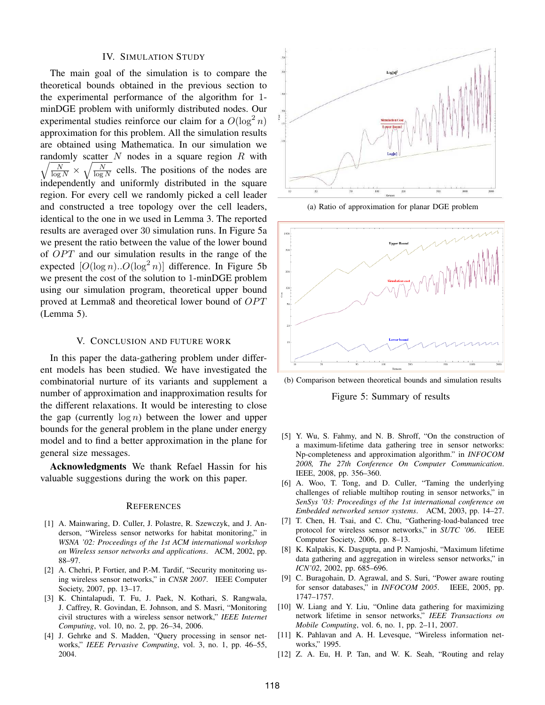#### IV. SIMULATION STUDY

The main goal of the simulation is to compare the theoretical bounds obtained in the previous section to the experimental performance of the algorithm for 1 minDGE problem with uniformly distributed nodes. Our experimental studies reinforce our claim for a  $O(\log^2 n)$ approximation for this problem. All the simulation results are obtained using Mathematica. In our simulation we  $\sqrt{\frac{N}{\log N}} \times \sqrt{\frac{N}{\log N}}$  cells. The positions of the nodes are randomly scatter  $N$  nodes in a square region  $R$  with independently and uniformly distributed in the square region. For every cell we randomly picked a cell leader and constructed a tree topology over the cell leaders, identical to the one in we used in Lemma 3. The reported results are averaged over 30 simulation runs. In Figure 5a we present the ratio between the value of the lower bound of  $OPT$  and our simulation results in the range of the expected  $[O(\log n) \cdot O(\log^2 n)]$  difference. In Figure 5b we present the cost of the solution to 1-minDGE problem using our simulation program, theoretical upper bound proved at Lemma8 and theoretical lower bound of  $OPT$ (Lemma 5).

#### V. CONCLUSION AND FUTURE WORK

In this paper the data-gathering problem under different models has been studied. We have investigated the combinatorial nurture of its variants and supplement a number of approximation and inapproximation results for the different relaxations. It would be interesting to close the gap (currently  $log n$ ) between the lower and upper bounds for the general problem in the plane under energy model and to find a better approximation in the plane for general size messages.

Acknowledgments We thank Refael Hassin for his valuable suggestions during the work on this paper.

#### **REFERENCES**

- [1] A. Mainwaring, D. Culler, J. Polastre, R. Szewczyk, and J. Anderson, "Wireless sensor networks for habitat monitoring," in *WSNA '02: Proceedings of the 1st ACM international workshop on Wireless sensor networks and applications*. ACM, 2002, pp. 88–97.
- [2] A. Chehri, P. Fortier, and P.-M. Tardif, "Security monitoring using wireless sensor networks," in *CNSR 2007*. IEEE Computer Society, 2007, pp. 13–17.
- [3] K. Chintalapudi, T. Fu, J. Paek, N. Kothari, S. Rangwala, J. Caffrey, R. Govindan, E. Johnson, and S. Masri, "Monitoring civil structures with a wireless sensor network," *IEEE Internet Computing*, vol. 10, no. 2, pp. 26–34, 2006.
- [4] J. Gehrke and S. Madden, "Query processing in sensor networks," *IEEE Pervasive Computing*, vol. 3, no. 1, pp. 46–55, 2004.



(a) Ratio of approximation for planar DGE problem



(b) Comparison between theoretical bounds and simulation results

Figure 5: Summary of results

- [5] Y. Wu, S. Fahmy, and N. B. Shroff, "On the construction of a maximum-lifetime data gathering tree in sensor networks: Np-completeness and approximation algorithm." in *INFOCOM 2008, The 27th Conference On Computer Communication*. IEEE, 2008, pp. 356–360.
- [6] A. Woo, T. Tong, and D. Culler, "Taming the underlying challenges of reliable multihop routing in sensor networks," in *SenSys '03: Proceedings of the 1st international conference on Embedded networked sensor systems*. ACM, 2003, pp. 14–27.
- [7] T. Chen, H. Tsai, and C. Chu, "Gathering-load-balanced tree protocol for wireless sensor networks," in *SUTC '06*. IEEE Computer Society, 2006, pp. 8–13.
- [8] K. Kalpakis, K. Dasgupta, and P. Namjoshi, "Maximum lifetime data gathering and aggregation in wireless sensor networks," in *ICN'02*, 2002, pp. 685–696.
- [9] C. Buragohain, D. Agrawal, and S. Suri, "Power aware routing for sensor databases," in *INFOCOM 2005*. IEEE, 2005, pp. 1747–1757.
- [10] W. Liang and Y. Liu, "Online data gathering for maximizing network lifetime in sensor networks," *IEEE Transactions on Mobile Computing*, vol. 6, no. 1, pp. 2–11, 2007.
- [11] K. Pahlavan and A. H. Levesque, "Wireless information networks," 1995.
- [12] Z. A. Eu, H. P. Tan, and W. K. Seah, "Routing and relay